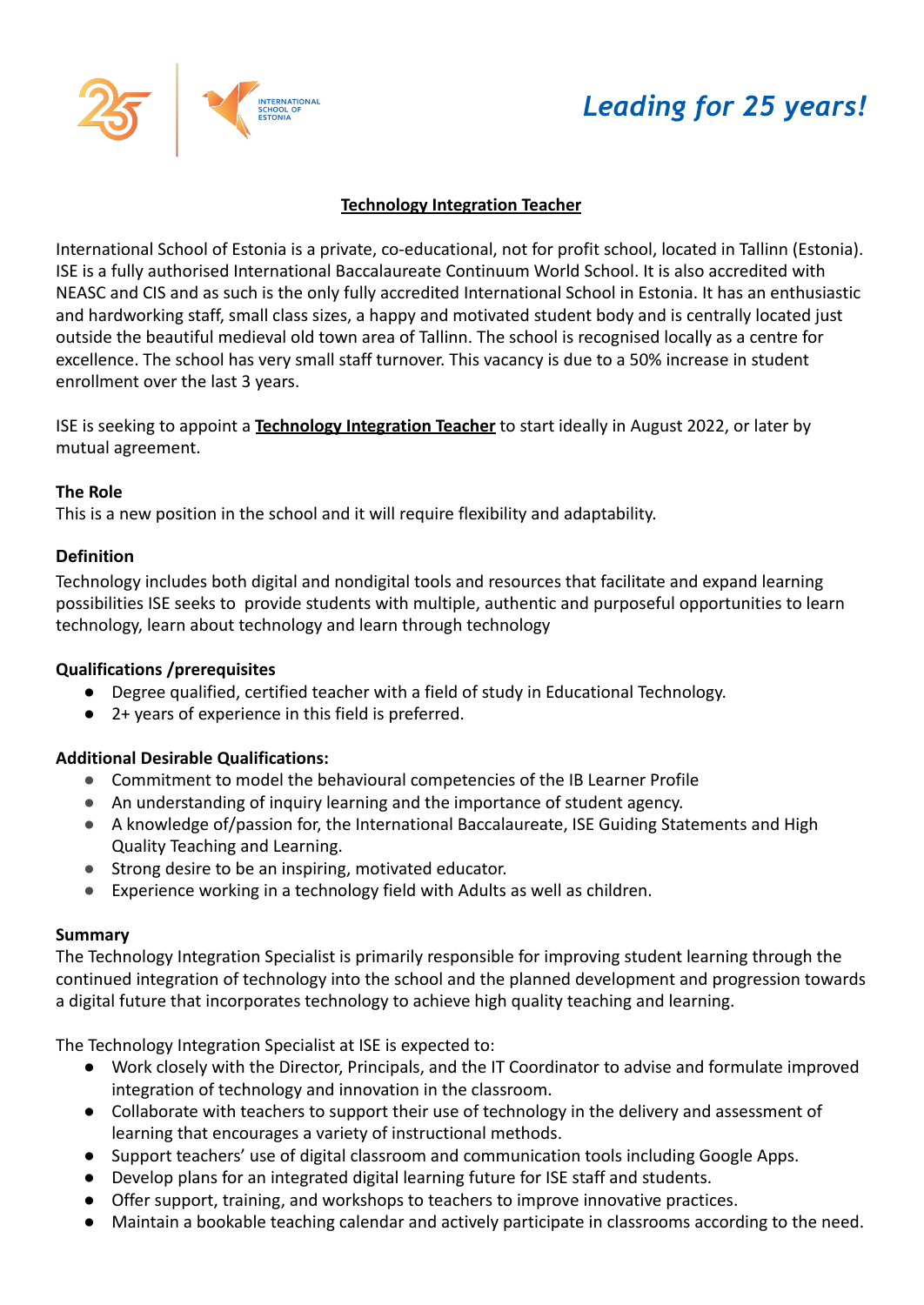



# **Technology Integration Teacher**

International School of Estonia is a private, co-educational, not for profit school, located in Tallinn (Estonia). ISE is a fully authorised International Baccalaureate Continuum World School. It is also accredited with NEASC and CIS and as such is the only fully accredited International School in Estonia. It has an enthusiastic and hardworking staff, small class sizes, a happy and motivated student body and is centrally located just outside the beautiful medieval old town area of Tallinn. The school is recognised locally as a centre for excellence. The school has very small staff turnover. This vacancy is due to a 50% increase in student enrollment over the last 3 years.

ISE is seeking to appoint a **Technology Integration Teacher** to start ideally in August 2022, or later by mutual agreement.

### **The Role**

This is a new position in the school and it will require flexibility and adaptability.

## **Definition**

Technology includes both digital and nondigital tools and resources that facilitate and expand learning possibilities ISE seeks to provide students with multiple, authentic and purposeful opportunities to learn technology, learn about technology and learn through technology

## **Qualifications /prerequisites**

- Degree qualified, certified teacher with a field of study in Educational Technology.
- 2+ years of experience in this field is preferred.

## **Additional Desirable Qualifications:**

- Commitment to model the behavioural competencies of the IB Learner Profile
- An understanding of inquiry learning and the importance of student agency.
- A knowledge of/passion for, the International Baccalaureate, ISE Guiding Statements and High Quality Teaching and Learning.
- Strong desire to be an inspiring, motivated educator.
- Experience working in a technology field with Adults as well as children.

## **Summary**

The Technology Integration Specialist is primarily responsible for improving student learning through the continued integration of technology into the school and the planned development and progression towards a digital future that incorporates technology to achieve high quality teaching and learning.

The Technology Integration Specialist at ISE is expected to:

- Work closely with the Director, Principals, and the IT Coordinator to advise and formulate improved integration of technology and innovation in the classroom.
- Collaborate with teachers to support their use of technology in the delivery and assessment of learning that encourages a variety of instructional methods.
- Support teachers' use of digital classroom and communication tools including Google Apps.
- Develop plans for an integrated digital learning future for ISE staff and students.
- Offer support, training, and workshops to teachers to improve innovative practices.
- Maintain a bookable teaching calendar and actively participate in classrooms according to the need.